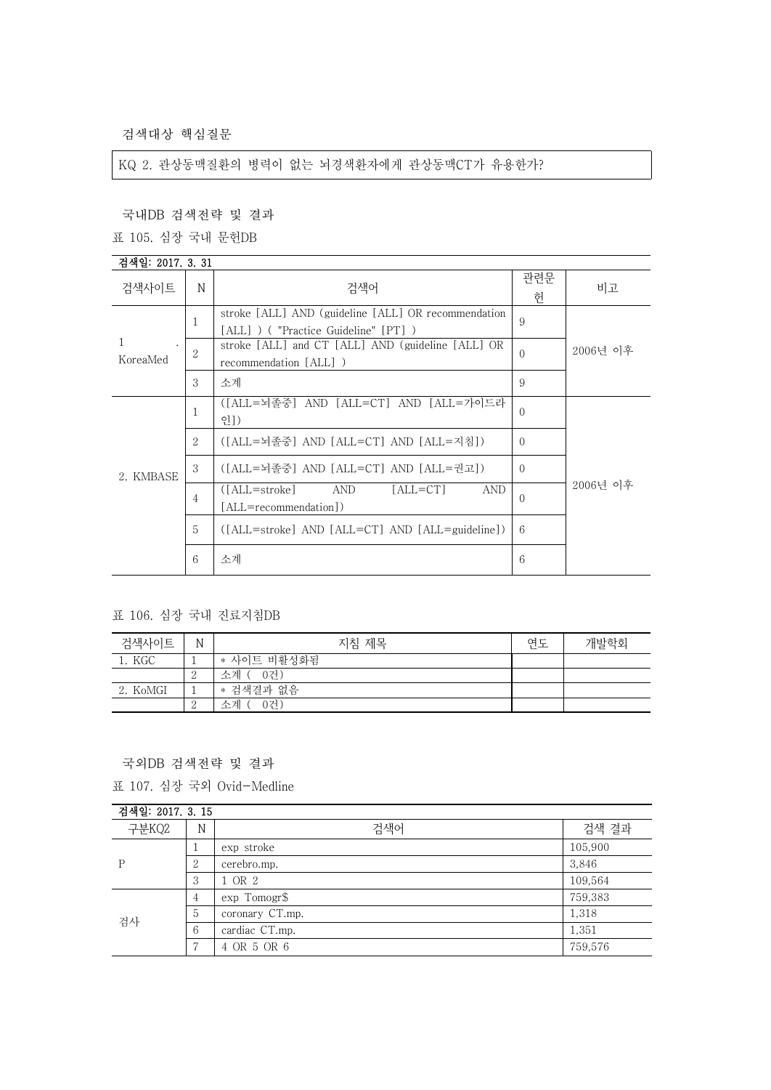검색대상 핵심질문

KQ 2. 관상동맥질환의 병력이 없는 뇌경색환자에게 관상동맥CT가 유용한가?

국내DB 검색전략 및 결과

표 105. 심장 국내 문헌DB

| 검색일: 2017, 3, 31 |                |                                                                                              |          |          |
|------------------|----------------|----------------------------------------------------------------------------------------------|----------|----------|
| 검색사이트            | N              | 검색어                                                                                          | 관련문<br>헌 | 비고       |
| 1<br>KoreaMed    | 1              | stroke [ALL] AND (guideline [ALL] OR recommendation<br>[ALL] ) ( "Practice Guideline" [PT] ) | 9        |          |
|                  | $\overline{2}$ | stroke [ALL] and CT [ALL] AND (guideline [ALL] OR<br>recommendation [ALL])                   | $\Omega$ | 2006년 이후 |
|                  | 3              | 소계                                                                                           | 9        |          |
| 2. KMBASE        | 1              | ([ALL=뇌졸중] AND [ALL=CT] AND [ALL=가이드라<br>인])                                                 | $\Omega$ | 2006년 이후 |
|                  | $\overline{2}$ | ([ALL=뇌졸중] AND [ALL=CT] AND [ALL=지침])                                                        | $\Omega$ |          |
|                  | 3              | ([ALL=뇌졸중] AND [ALL=CT] AND [ALL=권고])                                                        | $\Omega$ |          |
|                  | 4              | AND<br>$[ALL=CT]$<br>$(IALL=stroke]$<br>AND<br>[ALL=recommendation])                         | $\Omega$ |          |
|                  | 5              | ([ALL=stroke] AND [ALL=CT] AND [ALL=guideline])                                              | 6        |          |
|                  | 6              | 소계                                                                                           | 6        |          |

## 표 106. 심장 국내 진료지침DB

| 검색사이트    | $\mathbf N$   | 지침 제목       | 연도 | 개발학회 |
|----------|---------------|-------------|----|------|
| 1. KGC   |               | * 사이트 비활성화됨 |    |      |
|          | $\Omega$<br>∠ | 0건)<br>수계 ( |    |      |
| 2. KoMGI | ÷             | * 검색결과 없음   |    |      |
|          | $\Omega$<br>∠ | 0건)<br>스게   |    |      |

국외DB 검색전략 및 결과

표 107. 심장 국외 Ovid-Medline

| 검색일: 2017. 3. 15 |   |                 |         |
|------------------|---|-----------------|---------|
| 구분KQ2            | N | 검색어             | 검색 결과   |
| D                |   | exp stroke      | 105,900 |
|                  | 2 | cerebro.mp.     | 3,846   |
|                  | 3 | 1 OR 2          | 109,564 |
| 검사               | 4 | exp Tomogr\$    | 759,383 |
|                  | 5 | coronary CT.mp. | 1,318   |
|                  | 6 | cardiac CT.mp.  | 1,351   |
|                  |   | 4 OR 5 OR 6     | 759,576 |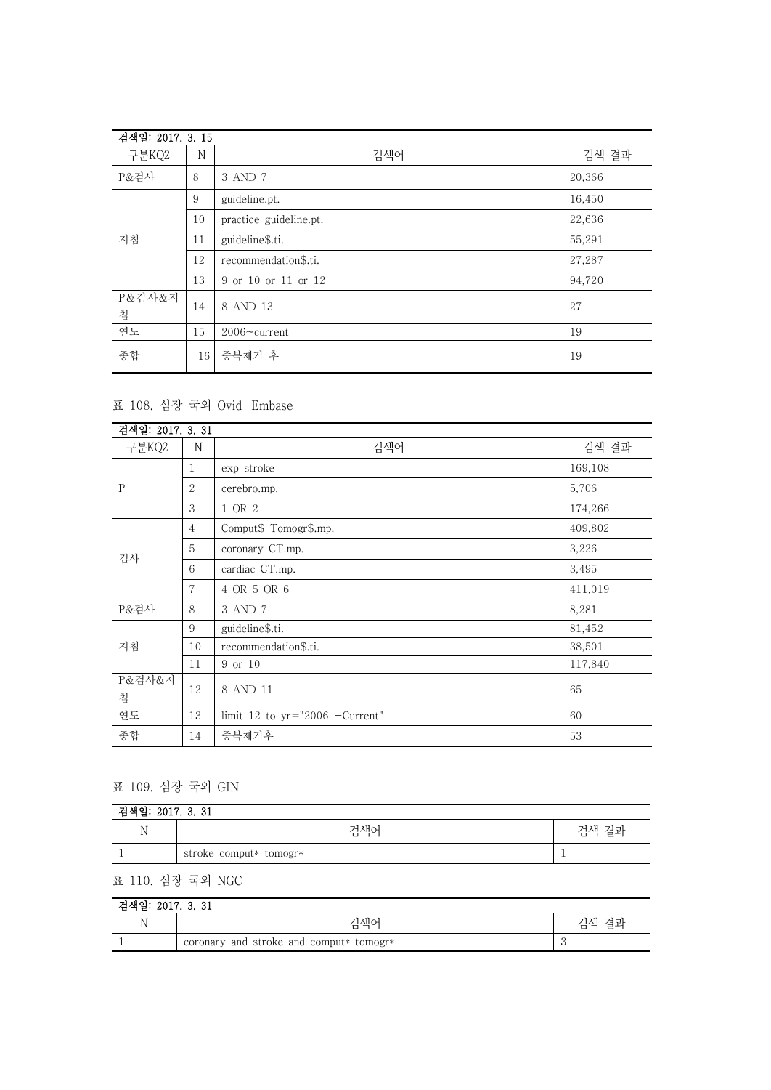| 검색일: 2017. 3. 15 |    |                        |        |
|------------------|----|------------------------|--------|
| 구분KQ2            | N  | 검색어                    | 검색 결과  |
| P&검사             | 8  | 3 AND 7                | 20,366 |
| 지침               | 9  | guideline.pt.          | 16,450 |
|                  | 10 | practice guideline.pt. | 22,636 |
|                  | 11 | guideline\$.ti.        | 55,291 |
|                  | 12 | recommendation\$.ti.   | 27,287 |
|                  | 13 | 9 or 10 or 11 or 12    | 94,720 |
| P&검사&지<br>침      | 14 | 8 AND 13               | 27     |
| 연도               | 15 | $2006$ ~current        | 19     |
| 종합               | 16 | 중복제거 후                 | 19     |

## 표 108. 심장 국외 Ovid-Embase

| 검색일: 2017. 3. 31 |                |                                  |         |
|------------------|----------------|----------------------------------|---------|
| 구분KQ2            | N              | 검색어                              | 검색 결과   |
| $\mathbf{P}$     | $\mathbf{1}$   | exp stroke                       | 169,108 |
|                  | 2              | cerebro.mp.                      | 5,706   |
|                  | 3              | 1 OR 2                           | 174,266 |
| 검사               | $\overline{4}$ | Comput\$ Tomogr\$.mp.            | 409,802 |
|                  | 5              | coronary CT.mp.                  | 3,226   |
|                  | 6              | cardiac CT.mp.                   | 3,495   |
|                  | $\overline{7}$ | 4 OR 5 OR 6                      | 411,019 |
| P&검사             | 8              | 3 AND 7                          | 8,281   |
| 지침               | 9              | guideline\$.ti.                  | 81,452  |
|                  | 10             | recommendation\$.ti.             | 38,501  |
|                  | 11             | 9 or 10                          | 117,840 |
| P&검사&지<br>침      | 12             | 8 AND 11                         | 65      |
| 연도               | 13             | limit 12 to $yr="2006$ -Current" | 60      |
| 종합               | 14             | 중복제거후                            | 53      |

## 표 109. 심장 국외 GIN

| 검색일: 2017. 3. 31 |                        |       |  |  |
|------------------|------------------------|-------|--|--|
| IN               | 검색어                    | 검색 결과 |  |  |
|                  | stroke comput* tomogr* |       |  |  |

## 표 110. 심장 국외 NGC

| 2017. 3. 31<br>道. |                                         |       |  |
|-------------------|-----------------------------------------|-------|--|
|                   | 걱색어                                     | 거새 겨까 |  |
|                   | coronary and stroke and comput* tomogr* |       |  |